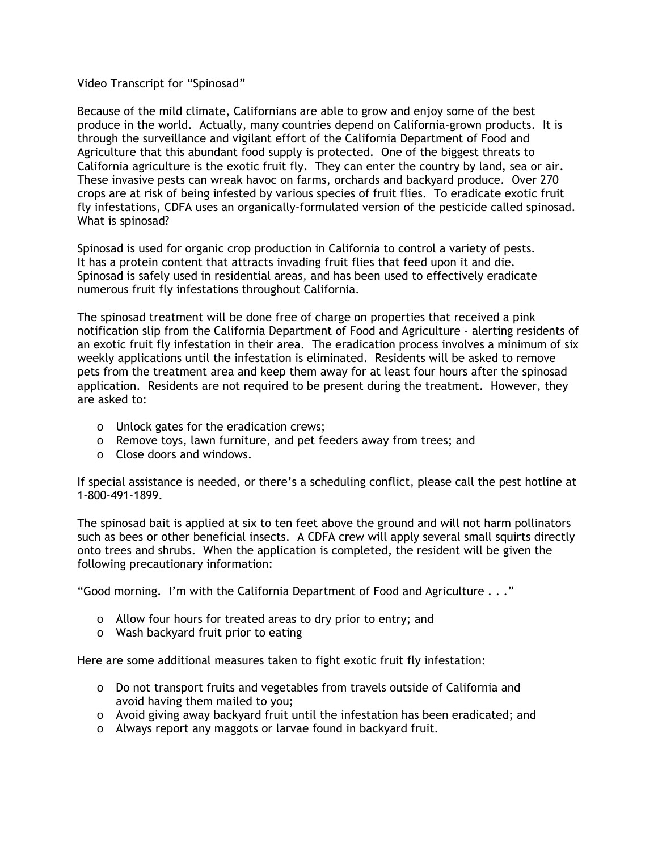## Video Transcript for "Spinosad"

Because of the mild climate, Californians are able to grow and enjoy some of the best produce in the world. Actually, many countries depend on California-grown products. It is through the surveillance and vigilant effort of the California Department of Food and Agriculture that this abundant food supply is protected. One of the biggest threats to California agriculture is the exotic fruit fly. They can enter the country by land, sea or air. These invasive pests can wreak havoc on farms, orchards and backyard produce. Over 270 crops are at risk of being infested by various species of fruit flies. To eradicate exotic fruit fly infestations, CDFA uses an organically-formulated version of the pesticide called spinosad. What is spinosad?

Spinosad is used for organic crop production in California to control a variety of pests. It has a protein content that attracts invading fruit flies that feed upon it and die. Spinosad is safely used in residential areas, and has been used to effectively eradicate numerous fruit fly infestations throughout California.

The spinosad treatment will be done free of charge on properties that received a pink notification slip from the California Department of Food and Agriculture - alerting residents of an exotic fruit fly infestation in their area. The eradication process involves a minimum of six weekly applications until the infestation is eliminated. Residents will be asked to remove pets from the treatment area and keep them away for at least four hours after the spinosad application. Residents are not required to be present during the treatment. However, they are asked to:

- o Unlock gates for the eradication crews;
- o Remove toys, lawn furniture, and pet feeders away from trees; and
- o Close doors and windows.

If special assistance is needed, or there's a scheduling conflict, please call the pest hotline at 1-800-491-1899.

The spinosad bait is applied at six to ten feet above the ground and will not harm pollinators such as bees or other beneficial insects. A CDFA crew will apply several small squirts directly onto trees and shrubs. When the application is completed, the resident will be given the following precautionary information:

"Good morning. I'm with the California Department of Food and Agriculture . . ."

- o Allow four hours for treated areas to dry prior to entry; and
- o Wash backyard fruit prior to eating

Here are some additional measures taken to fight exotic fruit fly infestation:

- o Do not transport fruits and vegetables from travels outside of California and avoid having them mailed to you;
- o Avoid giving away backyard fruit until the infestation has been eradicated; and
- o Always report any maggots or larvae found in backyard fruit.